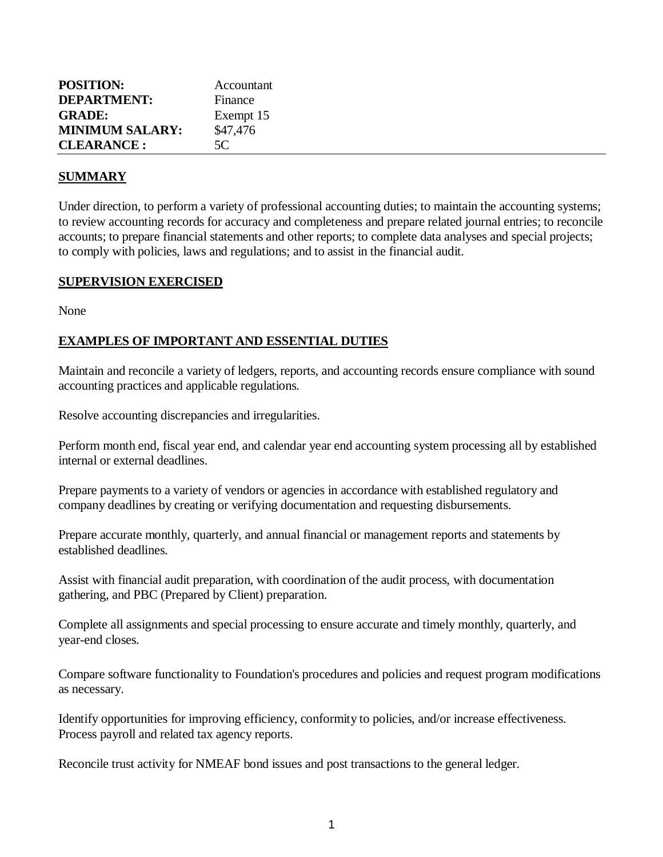| <b>POSITION:</b><br><b>DEPARTMENT:</b> | Accountant<br>Finance |
|----------------------------------------|-----------------------|
| <b>GRADE:</b>                          | Exempt 15             |
| <b>MINIMUM SALARY:</b>                 | \$47,476              |
| <b>CLEARANCE:</b>                      | 5C                    |

#### **SUMMARY**

Under direction, to perform a variety of professional accounting duties; to maintain the accounting systems; to review accounting records for accuracy and completeness and prepare related journal entries; to reconcile accounts; to prepare financial statements and other reports; to complete data analyses and special projects; to comply with policies, laws and regulations; and to assist in the financial audit.

#### **SUPERVISION EXERCISED**

None

#### **EXAMPLES OF IMPORTANT AND ESSENTIAL DUTIES**

Maintain and reconcile a variety of ledgers, reports, and accounting records ensure compliance with sound accounting practices and applicable regulations.

Resolve accounting discrepancies and irregularities.

Perform month end, fiscal year end, and calendar year end accounting system processing all by established internal or external deadlines.

Prepare payments to a variety of vendors or agencies in accordance with established regulatory and company deadlines by creating or verifying documentation and requesting disbursements.

Prepare accurate monthly, quarterly, and annual financial or management reports and statements by established deadlines.

Assist with financial audit preparation, with coordination of the audit process, with documentation gathering, and PBC (Prepared by Client) preparation.

Complete all assignments and special processing to ensure accurate and timely monthly, quarterly, and year-end closes.

Compare software functionality to Foundation's procedures and policies and request program modifications as necessary.

Identify opportunities for improving efficiency, conformity to policies, and/or increase effectiveness. Process payroll and related tax agency reports.

Reconcile trust activity for NMEAF bond issues and post transactions to the general ledger.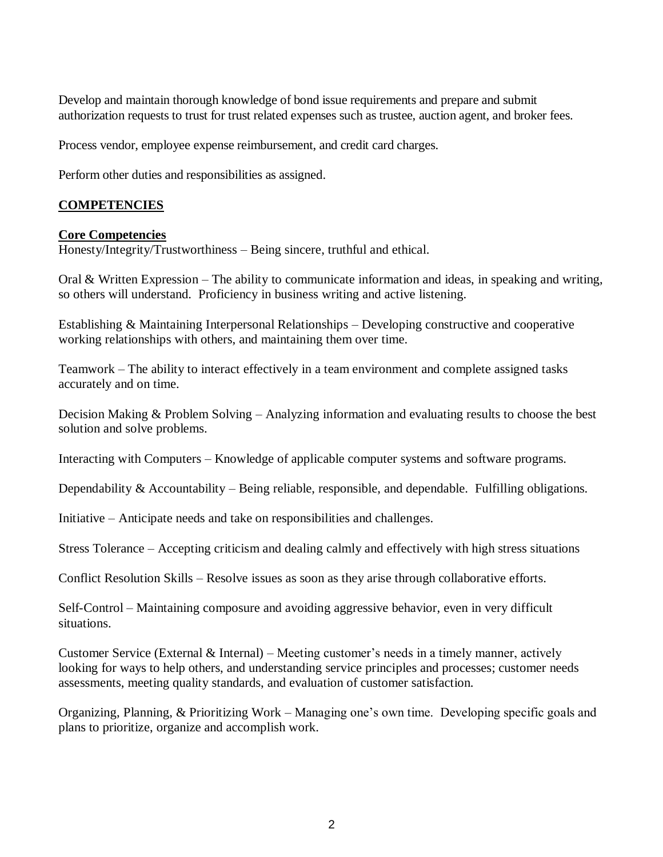Develop and maintain thorough knowledge of bond issue requirements and prepare and submit authorization requests to trust for trust related expenses such as trustee, auction agent, and broker fees.

Process vendor, employee expense reimbursement, and credit card charges.

Perform other duties and responsibilities as assigned.

## **COMPETENCIES**

#### **Core Competencies**

Honesty/Integrity/Trustworthiness – Being sincere, truthful and ethical.

Oral & Written Expression – The ability to communicate information and ideas, in speaking and writing, so others will understand. Proficiency in business writing and active listening.

Establishing & Maintaining Interpersonal Relationships – Developing constructive and cooperative working relationships with others, and maintaining them over time.

Teamwork – The ability to interact effectively in a team environment and complete assigned tasks accurately and on time.

Decision Making & Problem Solving – Analyzing information and evaluating results to choose the best solution and solve problems.

Interacting with Computers – Knowledge of applicable computer systems and software programs.

Dependability  $&$  Accountability – Being reliable, responsible, and dependable. Fulfilling obligations.

Initiative – Anticipate needs and take on responsibilities and challenges.

Stress Tolerance – Accepting criticism and dealing calmly and effectively with high stress situations

Conflict Resolution Skills – Resolve issues as soon as they arise through collaborative efforts.

Self-Control – Maintaining composure and avoiding aggressive behavior, even in very difficult situations.

Customer Service (External  $\&$  Internal) – Meeting customer's needs in a timely manner, actively looking for ways to help others, and understanding service principles and processes; customer needs assessments, meeting quality standards, and evaluation of customer satisfaction.

Organizing, Planning, & Prioritizing Work – Managing one's own time. Developing specific goals and plans to prioritize, organize and accomplish work.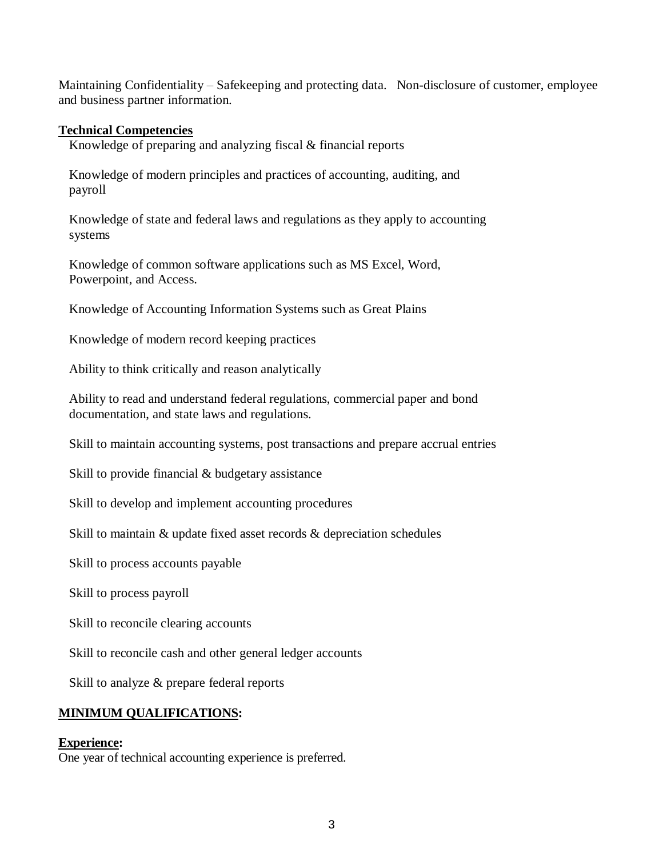Maintaining Confidentiality – Safekeeping and protecting data. Non-disclosure of customer, employee and business partner information.

#### **Technical Competencies**

Knowledge of preparing and analyzing fiscal & financial reports

Knowledge of modern principles and practices of accounting, auditing, and payroll

Knowledge of state and federal laws and regulations as they apply to accounting systems

Knowledge of common software applications such as MS Excel, Word, Powerpoint, and Access.

Knowledge of Accounting Information Systems such as Great Plains

Knowledge of modern record keeping practices

Ability to think critically and reason analytically

Ability to read and understand federal regulations, commercial paper and bond documentation, and state laws and regulations.

Skill to maintain accounting systems, post transactions and prepare accrual entries

Skill to provide financial & budgetary assistance

Skill to develop and implement accounting procedures

Skill to maintain & update fixed asset records & depreciation schedules

Skill to process accounts payable

Skill to process payroll

Skill to reconcile clearing accounts

Skill to reconcile cash and other general ledger accounts

Skill to analyze & prepare federal reports

### **MINIMUM QUALIFICATIONS:**

#### **Experience:**

One year of technical accounting experience is preferred.